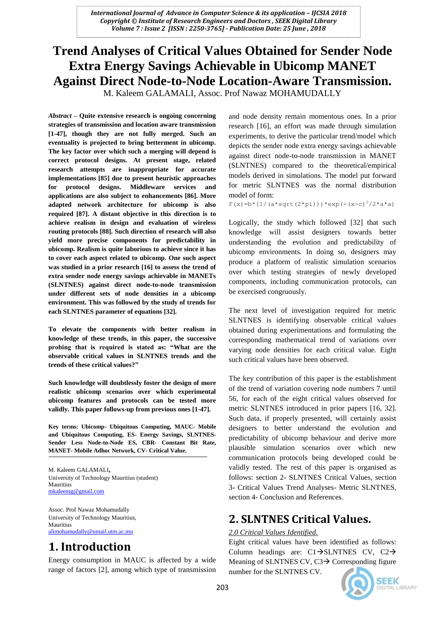# **Trend Analyses of Critical Values Obtained for Sender Node Extra Energy Savings Achievable in Ubicomp MANET Against Direct Node-to-Node Location-Aware Transmission.**

M. Kaleem GALAMALI, Assoc. Prof Nawaz MOHAMUDALLY

*Abstract* **– Quite extensive research is ongoing concerning strategies of transmission and location aware transmission [1-47], though they are not fully merged. Such an eventuality is projected to bring betterment in ubicomp. The key factor over which such a merging will depend is correct protocol designs. At present stage, related research attempts are inappropriate for accurate implementations [85] due to present heuristic approaches for protocol designs. Middleware services and applications are also subject to enhancements [86]. More adapted network architecture for ubicomp is also required [87]. A distant objective in this direction is to achieve realism in design and evaluation of wireless routing protocols [88]. Such direction of research will also yield more precise components for predictability in ubicomp. Realism is quite laborious to achieve since it has to cover each aspect related to ubicomp. One such aspect was studied in a prior research [16] to assess the trend of extra sender node energy savings achievable in MANETs (SLNTNES) against direct node-to-node transmission under different sets of node densities in a ubicomp environment. This was followed by the study of trends for each SLNTNES parameter of equations [32].**

**To elevate the components with better realism in knowledge of these trends, in this paper, the successive probing that is required is stated as: "What are the observable critical values in SLNTNES trends and the trends of these critical values?"**

**Such knowledge will doubtlessly foster the design of more realistic ubicomp scenarios over which experimental ubicomp features and protocols can be tested more validly. This paper follows-up from previous ones [1-47].**

**Key terms: Ubicomp- Ubiquitous Computing, MAUC- Mobile and Ubiquitous Computing, ES- Energy Savings, SLNTNES-Sender Less Node-to-Node ES, CBR- Constant Bit Rate, MANET- Mobile Adhoc Network, CV- Critical Value.**

M. Kaleem GALAMALI, University of Technology Mauritius (student) Mauritius [mkaleemg@gmail.com](mailto:mkaleemg@gmail.com)

Assoc. Prof Nawaz Mohamudally University of Technology Mauritius, Mauritius [alimohamudally@umail.utm.ac.mu](mailto:alimohamudally@umail.utm.ac.mu)

# **1. Introduction**

Energy consumption in MAUC is affected by a wide range of factors [2], among which type of transmission and node density remain momentous ones. In a prior research [16], an effort was made through simulation experiments, to derive the particular trend/model which depicts the sender node extra energy savings achievable against direct node-to-node transmission in MANET (SLNTNES) compared to the theoretical/empirical models derived in simulations. The model put forward for metric SLNTNES was the normal distribution model of form:

 $F(x) = b * (1/(a * sqrt(2 * pi))) * exp(-(x-c)^{2}/2 * a * a)$ 

Logically, the study which followed [32] that such knowledge will assist designers towards better understanding the evolution and predictability of ubicomp environments. In doing so, designers may produce a platform of realistic simulation scenarios over which testing strategies of newly developed components, including communication protocols, can be exercised congruously.

The next level of investigation required for metric SLNTNES is identifying observable critical values obtained during experimentations and formulating the corresponding mathematical trend of variations over varying node densities for each critical value. Eight such critical values have been observed.

The key contribution of this paper is the establishment of the trend of variation covering node numbers 7 until 56, for each of the eight critical values observed for metric SLNTNES introduced in prior papers [16, 32]. Such data, if properly presented, will certainly assist designers to better understand the evolution and predictability of ubicomp behaviour and derive more plausible simulation scenarios over which new communication protocols being developed could be validly tested. The rest of this paper is organised as follows: section 2- SLNTNES Critical Values, section 3- Critical Values Trend Analyses- Metric SLNTNES, section 4- Conclusion and References.

## **2. SLNTNES Critical Values.**

## *2.0 Critical Values Identified.*

Eight critical values have been identified as follows: Column headings are:  $Cl \rightarrow SLNTNES$  CV,  $C2 \rightarrow$ Meaning of SLNTNES CV,  $C3 \rightarrow$  Corresponding figure number for the SLNTNES CV.

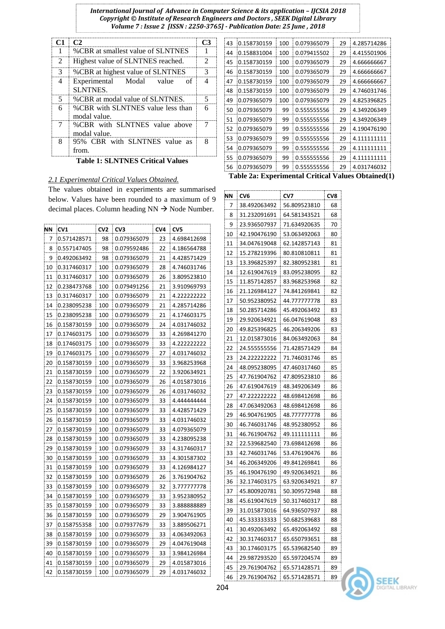*International Journal of Advance in Computer Science & its application – IJCSIA 2018 Copyright © Institute of Research Engineers and Doctors , SEEK Digital Library Volume 7 : Issue 2 [ISSN : 2250-3765] - Publication Date: 25 June , 2018*

| C1 | C2                                                 |                             |
|----|----------------------------------------------------|-----------------------------|
| 1  | %CBR at smallest value of SLNTNES                  |                             |
| 2  | Highest value of SLNTNES reached.                  | $\mathcal{D}_{\mathcal{L}}$ |
| 3  | %CBR at highest value of SLNTNES                   | 3                           |
| 4  | Experimental Modal value<br>. nf<br><b>SLNTNES</b> | Δ                           |
| 5  | %CBR at modal value of SLNTNES.                    | 5                           |
| 6  | %CBR with SLNTNES value less than<br>modal value.  | 6                           |
| 7  | %CBR with SLNTNES value above<br>modal value.      |                             |
| 8  | 95% CBR with SLNTNES value as<br>from.             | Q                           |

**Table 1: SLNTNES Critical Values**

## *2.1 Experimental Critical Values Obtained.*

The values obtained in experiments are summarised below. Values have been rounded to a maximum of 9 decimal places. Column heading  $NN \rightarrow N$ ode Number.

| ΝN | CV1         | CV <sub>2</sub> | CV <sub>3</sub> | CV <sub>4</sub> | CV5         |
|----|-------------|-----------------|-----------------|-----------------|-------------|
| 7  | 0.571428571 | 98              | 0.079365079     | 23              | 4.698412698 |
| 8  | 0.557147405 | 98              | 0.079592486     | 22              | 4.186564788 |
| 9  | 0.492063492 | 98              | 0.079365079     | 21              | 4.428571429 |
| 10 | 0.317460317 | 100             | 0.079365079     | 28              | 4.746031746 |
| 11 | 0.317460317 | 100             | 0.079365079     | 26              | 3.809523810 |
| 12 | 0.238473768 | 100             | 0.079491256     | 21              | 3.910969793 |
| 13 | 0.317460317 | 100             | 0.079365079     | 21              | 4.222222222 |
| 14 | 0.238095238 | 100             | 0.079365079     | 21              | 4.285714286 |
| 15 | 0.238095238 | 100             | 0.079365079     | 21              | 4.174603175 |
| 16 | 0.158730159 | 100             | 0.079365079     | 24              | 4.031746032 |
| 17 | 0.174603175 | 100             | 0.079365079     | 33              | 4.269841270 |
| 18 | 0.174603175 | 100             | 0.079365079     | 33              | 4.222222222 |
| 19 | 0.174603175 | 100             | 0.079365079     | 27              | 4.031746032 |
| 20 | 0.158730159 | 100             | 0.079365079     | 33              | 3.968253968 |
| 21 | 0.158730159 | 100             | 0.079365079     | 22              | 3.920634921 |
| 22 | 0.158730159 | 100             | 0.079365079     | 26              | 4.015873016 |
| 23 | 0.158730159 | 100             | 0.079365079     | 26              | 4.031746032 |
| 24 | 0.158730159 | 100             | 0.079365079     | 33              | 4.444444444 |
| 25 | 0.158730159 | 100             | 0.079365079     | 33              | 4.428571429 |
| 26 | 0.158730159 | 100             | 0.079365079     | 33              | 4.031746032 |
| 27 | 0.158730159 | 100             | 0.079365079     | 33              | 4.079365079 |
| 28 | 0.158730159 | 100             | 0.079365079     | 33              | 4.238095238 |
| 29 | 0.158730159 | 100             | 0.079365079     | 33              | 4.317460317 |
| 30 | 0.158730159 | 100             | 0.079365079     | 33              | 4.301587302 |
| 31 | 0.158730159 | 100             | 0.079365079     | 33              | 4.126984127 |
| 32 | 0.158730159 | 100             | 0.079365079     | 26              | 3.761904762 |
| 33 | 0.158730159 | 100             | 0.079365079     | 32              | 3.777777778 |
| 34 | 0.158730159 | 100             | 0.079365079     | 33              | 3.952380952 |
| 35 | 0.158730159 | 100             | 0.079365079     | 33              | 3.88888889  |
| 36 | 0.158730159 | 100             | 0.079365079     | 29              | 3.904761905 |
| 37 | 0.158755358 | 100             | 0.079377679     | 33              | 3.889506271 |
| 38 | 0.158730159 | 100             | 0.079365079     | 33              | 4.063492063 |
| 39 | 0.158730159 | 100             | 0.079365079     | 29              | 4.047619048 |
| 40 | 0.158730159 | 100             | 0.079365079     | 33              | 3.984126984 |
| 41 | 0.158730159 | 100             | 0.079365079     | 29              | 4.015873016 |
| 42 | 0.158730159 | 100             | 0.079365079     | 29              | 4.031746032 |

| 43                                                 | 0.158730159 | 100 | 0.079365079 | 29 | 4.285714286 |  |  |
|----------------------------------------------------|-------------|-----|-------------|----|-------------|--|--|
| 44                                                 | 0.158831004 | 100 | 0.079415502 | 29 | 4.415501906 |  |  |
| 45                                                 | 0.158730159 | 100 | 0.079365079 | 29 | 4.666666667 |  |  |
| 46                                                 | 0.158730159 | 100 | 0.079365079 | 29 | 4.666666667 |  |  |
| 47                                                 | 0.158730159 | 100 | 0.079365079 | 29 | 4.666666667 |  |  |
| 48                                                 | 0.158730159 | 100 | 0.079365079 | 29 | 4.746031746 |  |  |
| 49                                                 | 0.079365079 | 100 | 0.079365079 | 29 | 4.825396825 |  |  |
| 50                                                 | 0.079365079 | 99  | 0.555555556 | 29 | 4.349206349 |  |  |
| 51                                                 | 0.079365079 | 99  | 0.555555556 | 29 | 4.349206349 |  |  |
| 52                                                 | 0.079365079 | 99  | 0.555555556 | 29 | 4.190476190 |  |  |
| 53                                                 | 0.079365079 | 99  | 0.555555556 | 29 | 4.111111111 |  |  |
| 54                                                 | 0.079365079 | 99  | 0.555555556 | 29 | 4.111111111 |  |  |
| 55                                                 | 0.079365079 | 99  | 0.555555556 | 29 | 4.111111111 |  |  |
| 56                                                 | 0.079365079 | 99  | 0.555555556 | 29 | 4.031746032 |  |  |
| Toble 201 Experimental Critical Values Obtained (1 |             |     |             |    |             |  |  |

**Table 2a: Experimental Critical Values Obtained(1)**

| ΝN | CV6          | CV7          | CV8 |
|----|--------------|--------------|-----|
| 7  | 38.492063492 | 56.809523810 | 68  |
| 8  | 31.232091691 | 64.581343521 | 68  |
| 9  | 23.936507937 | 71.634920635 | 70  |
| 10 | 42.190476190 | 53.063492063 | 80  |
| 11 | 34.047619048 | 62.142857143 | 81  |
| 12 | 15.278219396 | 80.810810811 | 81  |
| 13 | 13.396825397 | 82.380952381 | 81  |
| 14 | 12.619047619 | 83.095238095 | 82  |
| 15 | 11.857142857 | 83.968253968 | 82  |
| 16 | 21.126984127 | 74.841269841 | 82  |
| 17 | 50.952380952 | 44.777777778 | 83  |
| 18 | 50.285714286 | 45.492063492 | 83  |
| 19 | 29.920634921 | 66.047619048 | 83  |
| 20 | 49.825396825 | 46.206349206 | 83  |
| 21 | 12.015873016 | 84.063492063 | 84  |
| 22 | 24.555555556 | 71.428571429 | 84  |
| 23 | 24.222222222 | 71.746031746 | 85  |
| 24 | 48.095238095 | 47.460317460 | 85  |
| 25 | 47.761904762 | 47.809523810 | 86  |
| 26 | 47.619047619 | 48.349206349 | 86  |
| 27 | 47.222222222 | 48.698412698 | 86  |
| 28 | 47.063492063 | 48.698412698 | 86  |
| 29 | 46.904761905 | 48.777777778 | 86  |
| 30 | 46.746031746 | 48.952380952 | 86  |
| 31 | 46.761904762 | 49.111111111 | 86  |
| 32 | 22.539682540 | 73.698412698 | 86  |
| 33 | 42.746031746 | 53.476190476 | 86  |
| 34 | 46.206349206 | 49.841269841 | 86  |
| 35 | 46.190476190 | 49.920634921 | 86  |
| 36 | 32.174603175 | 63.920634921 | 87  |
| 37 | 45.800920781 | 50.309572948 | 88  |
| 38 | 45.619047619 | 50.317460317 | 88  |
| 39 | 31.015873016 | 64.936507937 | 88  |
| 40 | 45.333333333 | 50.682539683 | 88  |
| 41 | 30.492063492 | 65.492063492 | 88  |
| 42 | 30.317460317 | 65.650793651 | 88  |
| 43 | 30.174603175 | 65.539682540 | 89  |
| 44 | 29.987293520 | 65.597204574 | 89  |
| 45 | 29.761904762 | 65.571428571 | 89  |
| 46 | 29.761904762 | 65.571428571 | 89  |

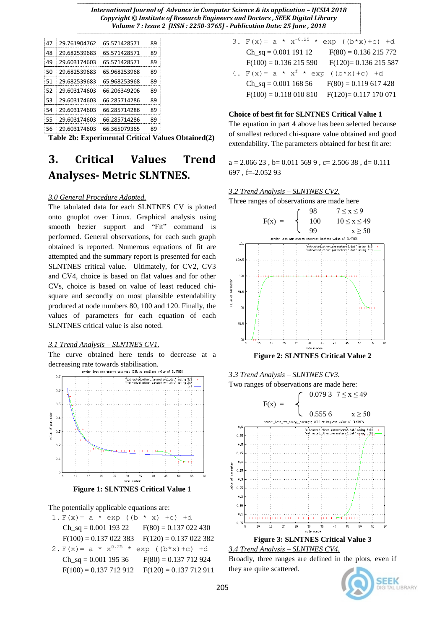| 47 | 29.761904762 | 65.571428571 | 89 |
|----|--------------|--------------|----|
| 48 | 29.682539683 | 65.571428571 | 89 |
| 49 | 29.603174603 | 65.571428571 | 89 |
| 50 | 29.682539683 | 65.968253968 | 89 |
| 51 | 29.682539683 | 65.968253968 | 89 |
| 52 | 29.603174603 | 66.206349206 | 89 |
| 53 | 29.603174603 | 66.285714286 | 89 |
| 54 | 29.603174603 | 66.285714286 | 89 |
| 55 | 29.603174603 | 66.285714286 | 89 |
| 56 | 29.603174603 | 66.365079365 | 89 |

**Table 2b: Experimental Critical Values Obtained(2)**

# **3. Critical Values Trend Analyses- Metric SLNTNES.**

### *3.0 General Procedure Adopted.*

The tabulated data for each SLNTNES CV is plotted onto gnuplot over Linux. Graphical analysis using smooth bezier support and "Fit" command is performed. General observations, for each such graph obtained is reported. Numerous equations of fit are attempted and the summary report is presented for each SLNTNES critical value. Ultimately, for CV2, CV3 and CV4, choice is based on flat values and for other CVs, choice is based on value of least reduced chisquare and secondly on most plausible extendability produced at node numbers 80, 100 and 120. Finally, the values of parameters for each equation of each SLNTNES critical value is also noted.

#### *3.1 Trend Analysis – SLNTNES CV1.*

The curve obtained here tends to decrease at a decreasing rate towards stabilisation.<br>sender\_less\_ntn\_energy\_savings:  $X\text{CFR}$  at smallest value



**Figure 1: SLNTNES Critical Value 1**

#### The potentially applicable equations are:

1.  $F(x) = a * exp ((b * x) + c) + d$ Ch sq = 0.001 193 22 F(80) = 0.137 022 430  $F(100) = 0.137 022 383$   $F(120) = 0.137 022 382$ 2.  $F(x) = a * x^{0.25} * exp ((b*x) + c) + d$  $Ch_sq = 0.001$  195 36 F(80) = 0.137 712 924  $F(100) = 0.137712912$   $F(120) = 0.137712911$ 

| 3. $F(x) = a * x^{-0.25}$                 | $exp ((b*x)+c) +d$     |
|-------------------------------------------|------------------------|
| $Ch_sq = 0.001$ 191 12                    | $F(80) = 0.136215772$  |
| $F(100) = 0.136215590$                    | $F(120)=0.136215587$   |
| 4. $F(x) = a * x^f * exp ((b*x) + c) + d$ |                        |
| $Ch_sq = 0.001$ 168 56                    | $F(80) = 0.119617428$  |
| $F(100) = 0.118\ 010\ 810$                | $F(120) = 0.117170071$ |

#### **Choice of best fit for SLNTNES Critical Value 1**

The equation in part 4 above has been selected because of smallest reduced chi-square value obtained and good extendability. The parameters obtained for best fit are:

 $a = 2.06623$ ,  $b = 0.0115699$ ,  $c = 2.50638$ ,  $d = 0.111$ 697 , f=-2.052 93











### *3.4 Trend Analysis – SLNTNES CV4.*

Broadly, three ranges are defined in the plots, even if they are quite scattered.

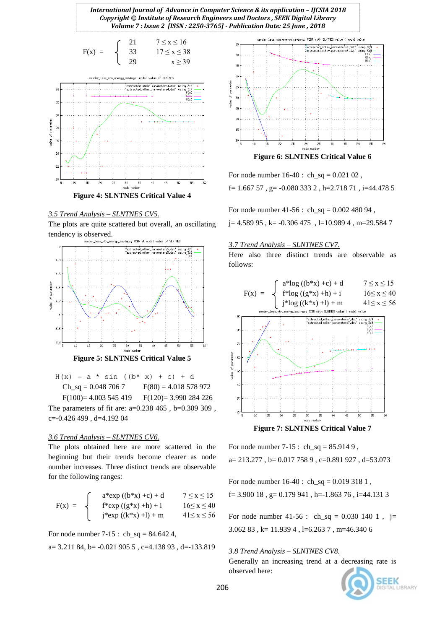*International Journal of Advance in Computer Science & its application – IJCSIA 2018 Copyright © Institute of Research Engineers and Doctors , SEEK Digital Library Volume 7 : Issue 2 [ISSN : 2250-3765] - Publication Date: 25 June , 2018*



#### *3.5 Trend Analysis – SLNTNES CV5.*

The plots are quite scattered but overall, an oscillating tendency is observed.



**Figure 5: SLNTNES Critical Value 5**

| $H(x) = a * sin ((b * x) + c) + d$ |  |                      |                       |  |  |                        |
|------------------------------------|--|----------------------|-----------------------|--|--|------------------------|
|                                    |  | $Ch_sq = 0.0487067$  | $F(80) = 4.018578972$ |  |  |                        |
|                                    |  | $F(100)=4.003545419$ |                       |  |  | $F(120) = 3.990284226$ |

The parameters of fit are: a=0.238 465 , b=0.309 309 , c=-0.426 499 , d=4.192 04

## *3.6 Trend Analysis – SLNTNES CV6.*

The plots obtained here are more scattered in the beginning but their trends become clearer as node number increases. Three distinct trends are observable for the following ranges:

$$
F(x) = \begin{cases} a^*exp ((b^*x) + c) + d & 7 \le x \le 15 \\ f^*exp ((g^*x) + h) + i & 16 \le x \le 40 \\ j^*exp ((k^*x) + l) + m & 41 \le x \le 56 \end{cases}
$$

For node number  $7-15$ : ch\_sq =  $84.642$  4,

$$
a=3.211\ 84,\ b=-0.021\ 905\ 5\ ,\ c=4.138\ 93\ ,\ d=-133.819
$$



For node number  $16-40$  :  $ch\_sq = 0.02102$ ,

f =  $1.66757$ , g =  $-0.0803332$ , h =  $2.71871$ , i =  $44.4785$ 

For node number  $41-56$ : ch\_sq = 0.002 480 94 ,

 $j= 4.589 95$ , k=  $-0.306 475$ , l=10.989 4, m=29.584 7

#### *3.7 Trend Analysis – SLNTNES CV7.*

Here also three distinct trends are observable as follows:



For node number 7-15 : ch\_sq =  $85.9149$  ,  $a= 213.277$ ,  $b= 0.0177589$ ,  $c=0.891927$ ,  $d=53.073$ 

For node number 16-40 : ch\_sq = 0.019 318 1 , f= 3.900 18 , g= 0.179 941 , h=-1.863 76 , i=44.131 3

For node number 41-56 : ch\_sq =  $0.030$  140 1, j= 3.062 83 , k= 11.939 4 , l=6.263 7 , m=46.340 6

### *3.8 Trend Analysis – SLNTNES CV8.*

Generally an increasing trend at a decreasing rate is observed here:

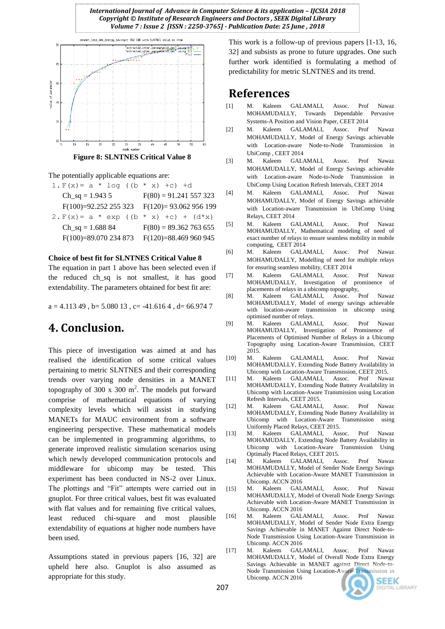



The potentially applicable equations are:

1.  $F(x) = a * log ((b * x) + c) + d$  $Ch_sq = 1.9435$   $F(80) = 91.241557323$ F(100)=92.252 255 323 F(120)= 93.062 956 199 2.  $F(x) = a * exp ((b * x) + c) + (d * x)$ Ch sq = 1.688 84 F(80) = 89.362 763 655 F(100)=89.070 234 873 F(120)=88.469 960 945

#### **Choice of best fit for SLNTNES Critical Value 8**

The equation in part 1 above has been selected even if the reduced ch\_sq is not smallest, it has good extendability. The parameters obtained for best fit are:

 $a = 4.11349$ ,  $b = 5.08013$ ,  $c = -41.6164$ ,  $d = 66.9747$ 

## **4. Conclusion.**

This piece of investigation was aimed at and has realised the identification of some critical values pertaining to metric SLNTNES and their corresponding trends over varying node densities in a MANET topography of 300  $x$  300 m<sup>2</sup>. The models put forward comprise of mathematical equations of varying complexity levels which will assist in studying MANETs for MAUC environment from a software engineering perspective. These mathematical models can be implemented in programming algorithms, to generate improved realistic simulation scenarios using which newly developed communication protocols and middleware for ubicomp may be tested. This experiment has been conducted in NS-2 over Linux. The plottings and "Fit" attempts were carried out in gnuplot. For three critical values, best fit was evaluated with flat values and for remaining five critical values, least reduced chi-square and most plausible extendability of equations at higher node numbers have been used.

Assumptions stated in previous papers [16, 32] are upheld here also. Gnuplot is also assumed as appropriate for this study.

This work is a follow-up of previous papers [1-13, 16, 32] and subsists as prone to future upgrades. One such further work identified is formulating a method of predictability for metric SLNTNES and its trend.

## **References**

- [1] M. Kaleem GALAMALI, Assoc. Prof Nawaz MOHAMUDALLY, Towards Dependable Pervasive Systems-A Position and Vision Paper, CEET 2014
- [2] M. Kaleem GALAMALI, Assoc. Prof Nawaz MOHAMUDALLY, Model of Energy Savings achievable with Location-aware Node-to-Node Transmission in UbiComp , CEET 2014
- [3] M. Kaleem GALAMALI, Assoc. Prof Nawaz MOHAMUDALLY, Model of Energy Savings achievable with Location-aware Node-to-Node Transmission in UbiComp Using Location Refresh Intervals, CEET 2014
- [4] M. Kaleem GALAMALI, Assoc. Prof Nawaz MOHAMUDALLY, Model of Energy Savings achievable with Location-aware Transmission in UbiComp Using Relays, CEET 2014
- [5] M. Kaleem GALAMALI, Assoc. Prof Nawaz MOHAMUDALLY, Mathematical modeling of need of exact number of relays to ensure seamless mobility in mobile computing, CEET 2014
- [6] M. Kaleem GALAMALI, Assoc. Prof Nawaz MOHAMUDALLY, Modelling of need for multiple relays for ensuring seamless mobility, CEET 2014
- [7] M. Kaleem GALAMALI, Assoc. Prof Nawaz MOHAMUDALLY, Investigation of prominence of placements of relays in a ubicomp topography,
- [8] M. Kaleem GALAMALI, Assoc. Prof Nawaz MOHAMUDALLY, Model of energy savings achievable with location-aware transmission in ubicomp using optimised number of relays.
- [9] M. Kaleem GALAMALI, Assoc. Prof Nawaz MOHAMUDALLY, Investigation of Prominence of Placements of Optimised Number of Relays in a Ubicomp Topography using Location-Aware Transmission, CEET 2015.
- [10] M. Kaleem GALAMALI, Assoc. Prof Nawaz MOHAMUDALLY, Extending Node Battery Availability in Ubicomp with Location-Aware Transmission, CEET 2015.
- [11] M. Kaleem GALAMALI, Assoc. Prof Nawaz MOHAMUDALLY, Extending Node Battery Availability in Ubicomp with Location-Aware Transmission using Location Refresh Intervals, CEET 2015.
- [12] M. Kaleem GALAMALI, Assoc. Prof Nawaz MOHAMUDALLY, Extending Node Battery Availability in Ubicomp with Location-Aware Transmission using Uniformly Placed Relays, CEET 2015.
- [13] M. Kaleem GALAMALI, Assoc. Prof Nawaz MOHAMUDALLY, Extending Node Battery Availability in Ubicomp with Location-Aware Transmission Using Optimally Placed Relays, CEET 2015.
- [14] M. Kaleem GALAMALI, Assoc. Prof Nawaz MOHAMUDALLY, Model of Sender Node Energy Savings Achievable with Location-Aware MANET Transmission in Ubicomp. ACCN 2016
- [15] M. Kaleem GALAMALI, Assoc. Prof Nawaz MOHAMUDALLY, Model of Overall Node Energy Savings Achievable with Location-Aware MANET Transmission in Ubicomp. ACCN 2016
- [16] M. Kaleem GALAMALI, Assoc. Prof Nawaz MOHAMUDALLY, Model of Sender Node Extra Energy Savings Achievable in MANET Against Direct Node-to-Node Transmission Using Location-Aware Transmission in Ubicomp. ACCN 2016
- [17] M. Kaleem GALAMALI, Assoc. Prof Nawaz MOHAMUDALLY, Model of Overall Node Extra Energy Savings Achievable in MANET against Direct Node-to-Node Transmission Using Location-Aware Transmission in Ubicomp. ACCN 2016

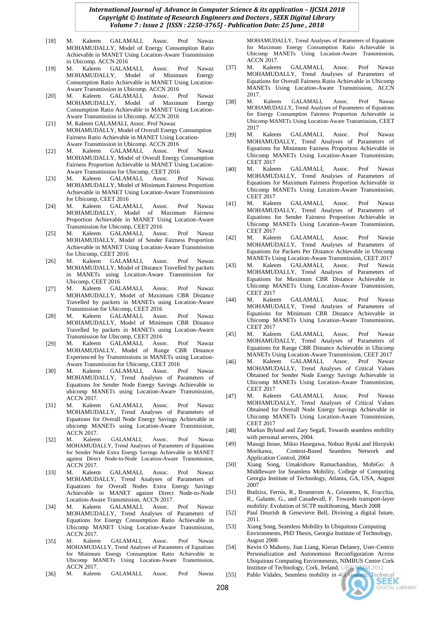- [18] M. Kaleem GALAMALI, Assoc. Prof Nawaz MOHAMUDALLY, Model of Energy Consumption Ratio Achievable in MANET Using Location-Aware Transmission in Ubicomp. ACCN 2016
- [19] M. Kaleem GALAMALI, Assoc. Prof Nawaz MOHAMUDALLY, Model of Minimum Energy Consumption Ratio Achievable in MANET Using Location-Aware Transmission in Ubicomp. ACCN 2016
- [20] M. Kaleem GALAMALI, Assoc. Prof Nawaz MOHAMUDALLY, Model of Maximum Consumption Ratio Achievable in MANET Using Location-Aware Transmission in Ubicomp. ACCN 2016
- [21] M. Kaleem GALAMALI, Assoc. Prof Nawaz MOHAMUDALLY, Model of Overall Energy Consumption Fairness Ratio Achievable in MANET Using Location-Aware Transmission in Ubicomp. ACCN 2016<br>M Kaleem GALAMALL Assoc F
- [22] M. Kaleem GALAMALI, Assoc. Prof Nawaz MOHAMUDALLY, Model of Overall Energy Consumption Fairness Proportion Achievable in MANET Using Location-Aware Transmission for Ubicomp, CEET 2016
- [23] M. Kaleem GALAMALI, Assoc. Prof Nawaz MOHAMUDALLY, Model of Minimum Fairness Proportion Achievable in MANET Using Location-Aware Transmission for Ubicomp, CEET 2016
- [24] M. Kaleem GALAMALI, Assoc. Prof Nawaz MOHAMUDALLY, Model of Maximum Fairness Proportion Achievable in MANET Using Location-Aware Transmission for Ubicomp, CEET 2016<br>M. Kaleem GALAMALL Asso
- [25] M. Kaleem GALAMALI, Assoc. Prof Nawaz MOHAMUDALLY, Model of Sender Fairness Proportion Achievable in MANET Using Location-Aware Transmission for Ubicomp, CEET 2016<br>M. Kaleem GALAM
- [26] M. Kaleem GALAMALI, Assoc. Prof Nawaz MOHAMUDALLY, Model of Distance Travelled by packets in MANETs using Location-Aware Transmission for Ubicomp, CEET 2016
- [27] M. Kaleem GALAMALI, Assoc. Prof Nawaz MOHAMUDALLY, Model of Maximum CBR Distance Travelled by packets in MANETs using Location-Aware Transmission for Ubicomp, CEET 2016
- [28] M. Kaleem GALAMALI, Assoc. Prof Nawaz MOHAMUDALLY, Model of Minimum CBR Distance Travelled by packets in MANETs using Location-Aware Transmission for Ubicomp, CEET 2016
- [29] M. Kaleem GALAMALI, Assoc. Prof Nawaz MOHAMUDALLY, Model of Range CBR Distance Experienced by Transmissions in MANETs using Location-Aware Transmission for Ubicomp, CEET 2016
- [30] M. Kaleem GALAMALI, Assoc. Prof Nawaz MOHAMUDALLY, Trend Analyses of Parameters of Equations for Sender Node Energy Savings Achievable in ubicomp MANETs using Location-Aware Transmission, ACCN 2017.
- [31] M. Kaleem GALAMALI, Assoc. Prof Nawaz MOHAMUDALLY, Trend Analyses of Parameters of Equations for Overall Node Energy Savings Achievable in ubicomp MANETs using Location-Aware Transmission, ACCN 2017.
- [32] M. Kaleem GALAMALI, Assoc. Prof Nawaz MOHAMUDALLY, Trend Analyses of Parameters of Equations for Sender Node Extra Energy Savings Achievable in MANET against Direct Node-to-Node Location-Aware Transmission, ACCN 2017.
- [33] M. Kaleem GALAMALI, Assoc. Prof Nawaz MOHAMUDALLY, Trend Analyses of Parameters of Equations for Overall Nodes Extra Energy Savings Achievable in MANET against Direct Node-to-Node Location-Aware Transmission, ACCN 2017.<br>M. Kaleem GALAMALL Assoc
- [34] M. Kaleem GALAMALI, Assoc. Prof Nawaz MOHAMUDALLY, Trend Analyses of Parameters of Equations for Energy Consumption Ratio Achievable in Ubicomp MANET Using Location-Aware Transmission, ACCN 2017.
- [35] M. Kaleem GALAMALI, Assoc. Prof Nawaz MOHAMUDALLY, Trend Analyses of Parameters of Equations for Minimum Energy Consumption Ratio Achievable in Ubicomp MANETs Using Location-Aware Transmission, ACCN 2017.
- [36] M. Kaleem GALAMALI, Assoc. Prof Nawaz

MOHAMUDALLY, Trend Analyses of Parameters of Equations for Maximum Energy Consumption Ratio Achievable in Ubicomp MANETs Using Location-Aware Transmission, ACCN 2017.

- [37] M. Kaleem GALAMALI, Assoc. Prof Nawaz MOHAMUDALLY, Trend Analyses of Parameters of Equations for Overall Fairness Ratio Achievable in Ubicomp MANETs Using Location-Aware Transmission, ACCN 2017.
- [38] M. Kaleem GALAMALI, Assoc. Prof Nawaz MOHAMUDALLY, Trend Analyses of Parameters of Equations for Energy Consumption Fairness Proportion Achievable in Ubicomp MANETs Using Location-Aware Transmission, CEET 2017
- [39] M. Kaleem GALAMALI, Assoc. Prof Nawaz MOHAMUDALLY, Trend Analyses of Parameters of Equations for Minimum Fairness Proportion Achievable in Ubicomp MANETs Using Location-Aware Transmission, CEET 2017
- [40] M. Kaleem GALAMALI, Assoc. Prof Nawaz MOHAMUDALLY, Trend Analyses of Parameters of Equations for Maximum Fairness Proportion Achievable in Ubicomp MANETs Using Location-Aware Transmission, CEET 2017
- [41] M. Kaleem GALAMALI, Assoc. Prof Nawaz MOHAMUDALLY, Trend Analyses of Parameters of Equations for Sender Fairness Proportion Achievable in Ubicomp MANETs Using Location-Aware Transmission, CEET 2017
- [42] M. Kaleem GALAMALI, Assoc. Prof Nawaz MOHAMUDALLY, Trend Analyses of Parameters of Equations for Packets Per Distance Achievable in Ubicomp MANETs Using Location-Aware Transmission, CEET 2017
- [43] M. Kaleem GALAMALI, Assoc. Prof Nawaz MOHAMUDALLY, Trend Analyses of Parameters of Equations for Maximum CBR Distance Achievable in Ubicomp MANETs Using Location-Aware Transmission, CEET 2017
- [44] M. Kaleem GALAMALI, Assoc. Prof Nawaz MOHAMUDALLY, Trend Analyses of Parameters of Equations for Minimum CBR Distance Achievable in Ubicomp MANETs Using Location-Aware Transmission, CEET 2017
- [45] M. Kaleem GALAMALI, Assoc. Prof Nawaz MOHAMUDALLY, Trend Analyses of Parameters of Equations for Range CBR Distance Achievable in Ubicomp MANETs Using Location-Aware Transmission, CEET 2017
- [46] M. Kaleem GALAMALI, Assoc. Prof Nawaz MOHAMUDALLY, Trend Analyses of Critical Values Obtained for Sender Node Energy Savings Achievable in Ubicomp MANETs Using Location-Aware Transmission, CEET 2017<br>M. Kaleem
- [47] M. Kaleem GALAMALI, Assoc. Prof Nawaz MOHAMUDALLY, Trend Analyses of Critical Values Obtained for Overall Node Energy Savings Achievable in Ubicomp MANETs Using Location-Aware Transmission, CEET 2017
- [48] Markus Bylund and Zary Segall, Towards seamless mobility with personal servers, 2004.
- [49] Masugi Inoue, Mikio Hasegawa, Nobuo Ryoki and Hiroyuki Morikawa, Context-Based Seamless Network and Application Control, 2004
- [50] Xiang Song, Umakishore Ramachandran, MobiGo: A Middleware for Seamless Mobility, College of Computing Georgia Institute of Technology, Atlanta, GA, USA, August 2007
- [51] Budzisz, Ferrús, R., Brunstrom A., Grinnemo, K, Fracchia, R., Galante, G., and Casadevall, F. Towards transport-layer mobility: Evolution of SCTP multihoming, March 2008
- [52] Paul Dourish & Genevieve Bell, Divining a digital future, 2011.
- [53] Xiang Song, Seamless Mobility In Ubiquitous Computing Environments, PhD Thesis, Georgia Institute of Technology, August 2008
- [54] Kevin O Mahony, Jian Liang, Kieran Delaney, User-Centric Personalization and Autonomous Reconfiguration Across Ubiquitous Computing Environments, NIMBUS Centre Cork Institute of Technology, Cork, Ireland, UBICOMM 2012
- [55] Pablo Vidales, Seamless mobility in 4G systems, *Technical*